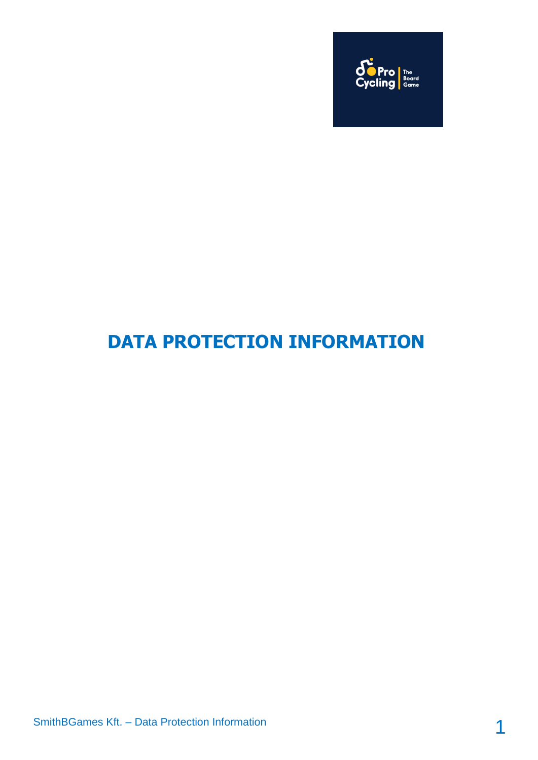

# **DATA PROTECTION INFORMATION**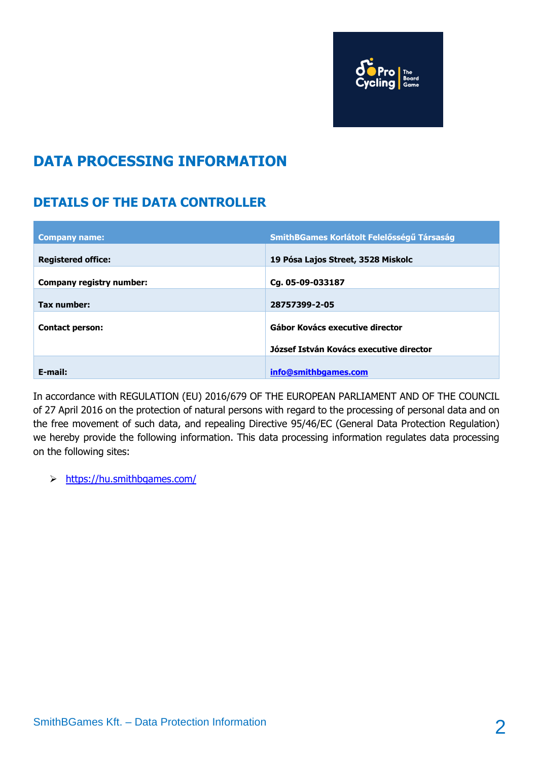

## **DATA PROCESSING INFORMATION**

## **DETAILS OF THE DATA CONTROLLER**

| <b>Company name:</b>      | SmithBGames Korlátolt Felelősségű Társaság |
|---------------------------|--------------------------------------------|
| <b>Registered office:</b> | 19 Pósa Lajos Street, 3528 Miskolc         |
| Company registry number:  | Cq. 05-09-033187                           |
| Tax number:               | 28757399-2-05                              |
| <b>Contact person:</b>    | Gábor Kovács executive director            |
|                           |                                            |
|                           | József István Kovács executive director    |
| E-mail:                   | info@smithbgames.com                       |

In accordance with REGULATION (EU) 2016/679 OF THE EUROPEAN PARLIAMENT AND OF THE COUNCIL of 27 April 2016 on the protection of natural persons with regard to the processing of personal data and on the free movement of such data, and repealing Directive 95/46/EC (General Data Protection Regulation) we hereby provide the following information. This data processing information regulates data processing on the following sites:

https://hu.smithbgames.com/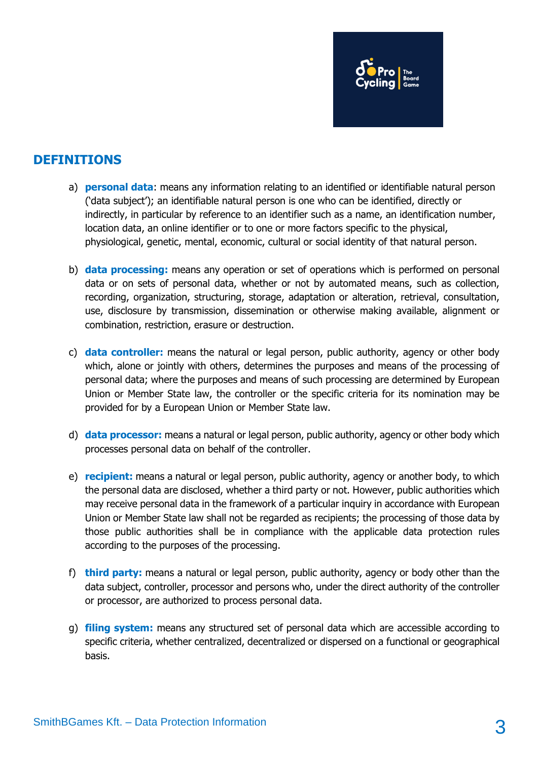

## **DEFINITIONS**

- a) **personal data**: means any information relating to an identified or identifiable natural person ('data subject'); an identifiable natural person is one who can be identified, directly or indirectly, in particular by reference to an identifier such as a name, an identification number, location data, an online identifier or to one or more factors specific to the physical, physiological, genetic, mental, economic, cultural or social identity of that natural person.
- b) **data processing:** means any operation or set of operations which is performed on personal data or on sets of personal data, whether or not by automated means, such as collection, recording, organization, structuring, storage, adaptation or alteration, retrieval, consultation, use, disclosure by transmission, dissemination or otherwise making available, alignment or combination, restriction, erasure or destruction.
- c) **data controller:** means the natural or legal person, public authority, agency or other body which, alone or jointly with others, determines the purposes and means of the processing of personal data; where the purposes and means of such processing are determined by European Union or Member State law, the controller or the specific criteria for its nomination may be provided for by a European Union or Member State law.
- d) **data processor:** means a natural or legal person, public authority, agency or other body which processes personal data on behalf of the controller.
- e) **recipient:** means a natural or legal person, public authority, agency or another body, to which the personal data are disclosed, whether a third party or not. However, public authorities which may receive personal data in the framework of a particular inquiry in accordance with European Union or Member State law shall not be regarded as recipients; the processing of those data by those public authorities shall be in compliance with the applicable data protection rules according to the purposes of the processing.
- f) **third party:** means a natural or legal person, public authority, agency or body other than the data subject, controller, processor and persons who, under the direct authority of the controller or processor, are authorized to process personal data.
- g) **filing system:** means any structured set of personal data which are accessible according to specific criteria, whether centralized, decentralized or dispersed on a functional or geographical basis.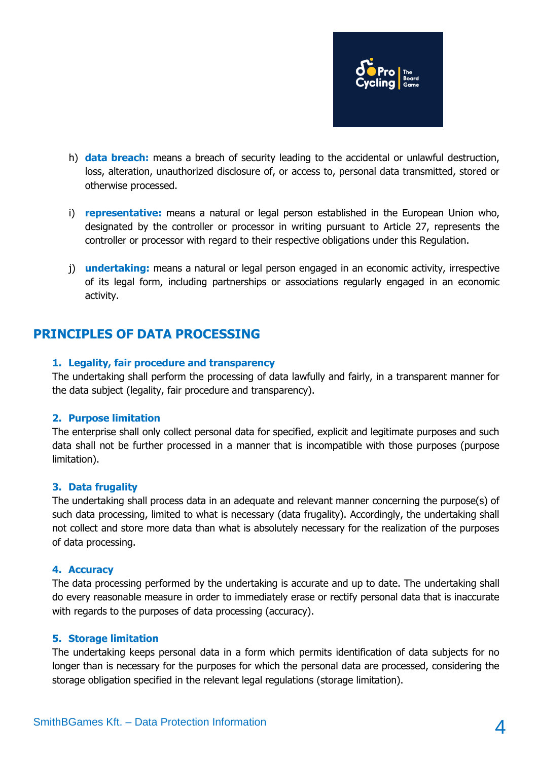

- h) **data breach:** means a breach of security leading to the accidental or unlawful destruction, loss, alteration, unauthorized disclosure of, or access to, personal data transmitted, stored or otherwise processed.
- i) **representative:** means a natural or legal person established in the European Union who, designated by the controller or processor in writing pursuant to Article 27, represents the controller or processor with regard to their respective obligations under this Regulation.
- j) **undertaking:** means a natural or legal person engaged in an economic activity, irrespective of its legal form, including partnerships or associations regularly engaged in an economic activity.

## **PRINCIPLES OF DATA PROCESSING**

#### **1. Legality, fair procedure and transparency**

The undertaking shall perform the processing of data lawfully and fairly, in a transparent manner for the data subject (legality, fair procedure and transparency).

#### **2. Purpose limitation**

The enterprise shall only collect personal data for specified, explicit and legitimate purposes and such data shall not be further processed in a manner that is incompatible with those purposes (purpose limitation).

#### **3. Data frugality**

The undertaking shall process data in an adequate and relevant manner concerning the purpose(s) of such data processing, limited to what is necessary (data frugality). Accordingly, the undertaking shall not collect and store more data than what is absolutely necessary for the realization of the purposes of data processing.

#### **4. Accuracy**

The data processing performed by the undertaking is accurate and up to date. The undertaking shall do every reasonable measure in order to immediately erase or rectify personal data that is inaccurate with regards to the purposes of data processing (accuracy).

#### **5. Storage limitation**

The undertaking keeps personal data in a form which permits identification of data subjects for no longer than is necessary for the purposes for which the personal data are processed, considering the storage obligation specified in the relevant legal regulations (storage limitation).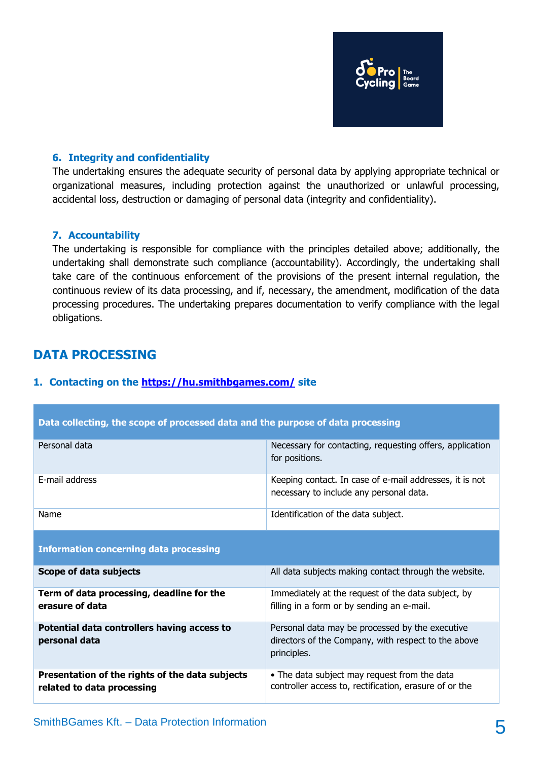

#### **6. Integrity and confidentiality**

The undertaking ensures the adequate security of personal data by applying appropriate technical or organizational measures, including protection against the unauthorized or unlawful processing, accidental loss, destruction or damaging of personal data (integrity and confidentiality).

#### **7. Accountability**

The undertaking is responsible for compliance with the principles detailed above; additionally, the undertaking shall demonstrate such compliance (accountability). Accordingly, the undertaking shall take care of the continuous enforcement of the provisions of the present internal regulation, the continuous review of its data processing, and if, necessary, the amendment, modification of the data processing procedures. The undertaking prepares documentation to verify compliance with the legal obligations.

## **DATA PROCESSING**

#### **1. Contacting on the <https://hu.smithbgames.com/> site**

| Data collecting, the scope of processed data and the purpose of data processing |                                                                                                                       |  |
|---------------------------------------------------------------------------------|-----------------------------------------------------------------------------------------------------------------------|--|
| Personal data                                                                   | Necessary for contacting, requesting offers, application<br>for positions.                                            |  |
| E-mail address                                                                  | Keeping contact. In case of e-mail addresses, it is not<br>necessary to include any personal data.                    |  |
| Name                                                                            | Identification of the data subject.                                                                                   |  |
| <b>Information concerning data processing</b>                                   |                                                                                                                       |  |
| Scope of data subjects                                                          | All data subjects making contact through the website.                                                                 |  |
| Term of data processing, deadline for the<br>erasure of data                    | Immediately at the request of the data subject, by<br>filling in a form or by sending an e-mail.                      |  |
| Potential data controllers having access to<br>personal data                    | Personal data may be processed by the executive<br>directors of the Company, with respect to the above<br>principles. |  |
| Presentation of the rights of the data subjects<br>related to data processing   | • The data subject may request from the data<br>controller access to, rectification, erasure of or the                |  |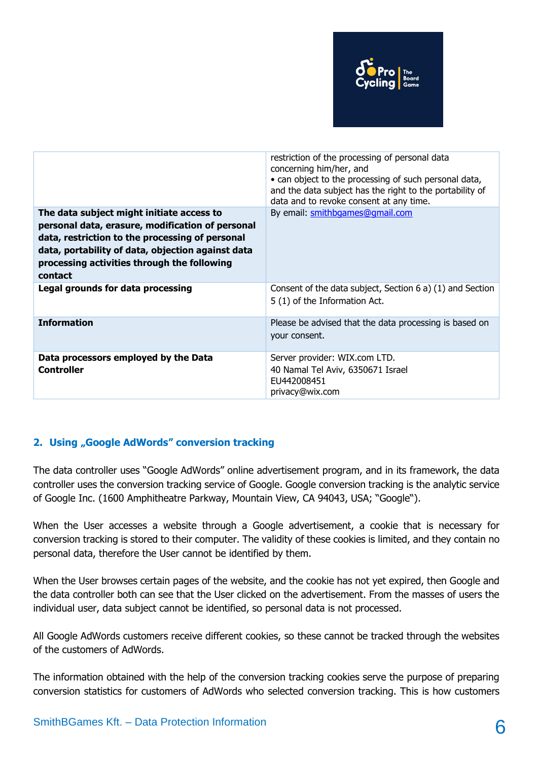

|                                                                                                                                                                                                                                                                 | restriction of the processing of personal data<br>concerning him/her, and<br>• can object to the processing of such personal data,<br>and the data subject has the right to the portability of<br>data and to revoke consent at any time. |
|-----------------------------------------------------------------------------------------------------------------------------------------------------------------------------------------------------------------------------------------------------------------|-------------------------------------------------------------------------------------------------------------------------------------------------------------------------------------------------------------------------------------------|
| The data subject might initiate access to<br>personal data, erasure, modification of personal<br>data, restriction to the processing of personal<br>data, portability of data, objection against data<br>processing activities through the following<br>contact | By email: smithbgames@gmail.com                                                                                                                                                                                                           |
| Legal grounds for data processing                                                                                                                                                                                                                               | Consent of the data subject, Section 6 a) (1) and Section<br>5 (1) of the Information Act.                                                                                                                                                |
| <b>Information</b>                                                                                                                                                                                                                                              | Please be advised that the data processing is based on<br>your consent.                                                                                                                                                                   |
| Data processors employed by the Data<br><b>Controller</b>                                                                                                                                                                                                       | Server provider: WIX.com LTD.<br>40 Namal Tel Aviv, 6350671 Israel<br>EU442008451<br>privacy@wix.com                                                                                                                                      |

#### **2. Using "Google AdWords" conversion tracking**

The data controller uses "Google AdWords" online advertisement program, and in its framework, the data controller uses the conversion tracking service of Google. Google conversion tracking is the analytic service of Google Inc. (1600 Amphitheatre Parkway, Mountain View, CA 94043, USA; "Google").

When the User accesses a website through a Google advertisement, a cookie that is necessary for conversion tracking is stored to their computer. The validity of these cookies is limited, and they contain no personal data, therefore the User cannot be identified by them.

When the User browses certain pages of the website, and the cookie has not yet expired, then Google and the data controller both can see that the User clicked on the advertisement. From the masses of users the individual user, data subject cannot be identified, so personal data is not processed.

All Google AdWords customers receive different cookies, so these cannot be tracked through the websites of the customers of AdWords.

The information obtained with the help of the conversion tracking cookies serve the purpose of preparing conversion statistics for customers of AdWords who selected conversion tracking. This is how customers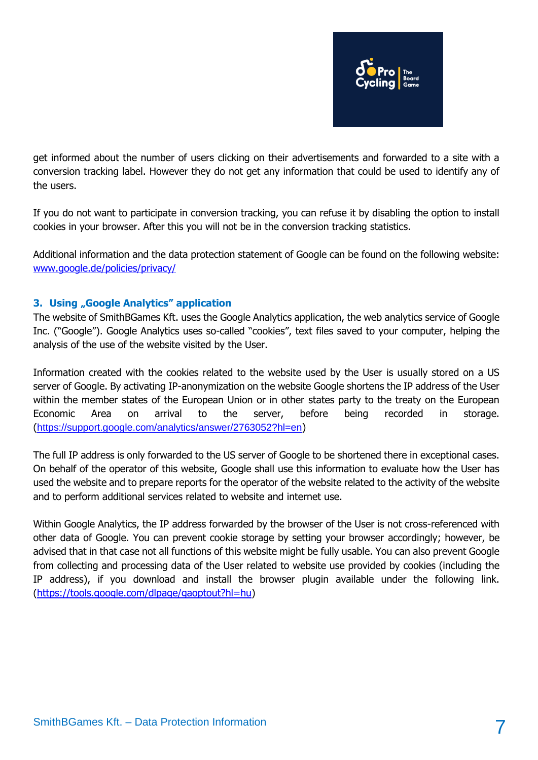

get informed about the number of users clicking on their advertisements and forwarded to a site with a conversion tracking label. However they do not get any information that could be used to identify any of the users.

If you do not want to participate in conversion tracking, you can refuse it by disabling the option to install cookies in your browser. After this you will not be in the conversion tracking statistics.

Additional information and the data protection statement of Google can be found on the following website: [www.google.de/policies/privacy/](http://www.google.de/policies/privacy/)

#### **3. Using "Google Analytics" application**

The website of SmithBGames Kft. uses the Google Analytics application, the web analytics service of Google Inc. ("Google"). Google Analytics uses so-called "cookies", text files saved to your computer, helping the analysis of the use of the website visited by the User.

Information created with the cookies related to the website used by the User is usually stored on a US server of Google. By activating IP-anonymization on the website Google shortens the IP address of the User within the member states of the European Union or in other states party to the treaty on the European Economic Area on arrival to the server, before being recorded in storage. (<https://support.google.com/analytics/answer/2763052?hl=en>)

The full IP address is only forwarded to the US server of Google to be shortened there in exceptional cases. On behalf of the operator of this website, Google shall use this information to evaluate how the User has used the website and to prepare reports for the operator of the website related to the activity of the website and to perform additional services related to website and internet use.

Within Google Analytics, the IP address forwarded by the browser of the User is not cross-referenced with other data of Google. You can prevent cookie storage by setting your browser accordingly; however, be advised that in that case not all functions of this website might be fully usable. You can also prevent Google from collecting and processing data of the User related to website use provided by cookies (including the IP address), if you download and install the browser plugin available under the following link. [\(https://tools.google.com/dlpage/gaoptout?hl=hu\)](https://tools.google.com/dlpage/gaoptout?hl=hu)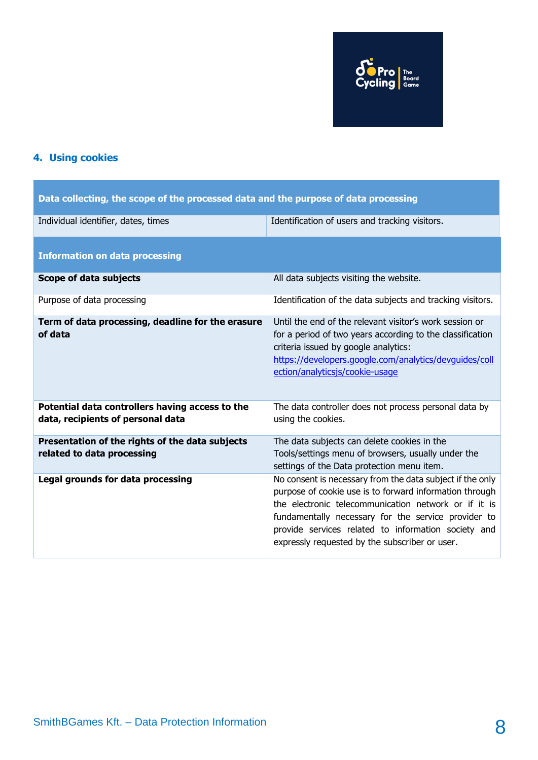

## **4. Using cookies**

| Data collecting, the scope of the processed data and the purpose of data processing  |                                                                                                                                                                                                                                                                                                                                              |  |
|--------------------------------------------------------------------------------------|----------------------------------------------------------------------------------------------------------------------------------------------------------------------------------------------------------------------------------------------------------------------------------------------------------------------------------------------|--|
| Individual identifier, dates, times                                                  | Identification of users and tracking visitors.                                                                                                                                                                                                                                                                                               |  |
| <b>Information on data processing</b>                                                |                                                                                                                                                                                                                                                                                                                                              |  |
| Scope of data subjects                                                               | All data subjects visiting the website.                                                                                                                                                                                                                                                                                                      |  |
| Purpose of data processing                                                           | Identification of the data subjects and tracking visitors.                                                                                                                                                                                                                                                                                   |  |
| Term of data processing, deadline for the erasure<br>of data                         | Until the end of the relevant visitor's work session or<br>for a period of two years according to the classification<br>criteria issued by google analytics:<br>https://developers.google.com/analytics/devguides/coll<br>ection/analyticsjs/cookie-usage                                                                                    |  |
| Potential data controllers having access to the<br>data, recipients of personal data | The data controller does not process personal data by<br>using the cookies.                                                                                                                                                                                                                                                                  |  |
| Presentation of the rights of the data subjects<br>related to data processing        | The data subjects can delete cookies in the<br>Tools/settings menu of browsers, usually under the<br>settings of the Data protection menu item.                                                                                                                                                                                              |  |
| Legal grounds for data processing                                                    | No consent is necessary from the data subject if the only<br>purpose of cookie use is to forward information through<br>the electronic telecommunication network or if it is<br>fundamentally necessary for the service provider to<br>provide services related to information society and<br>expressly requested by the subscriber or user. |  |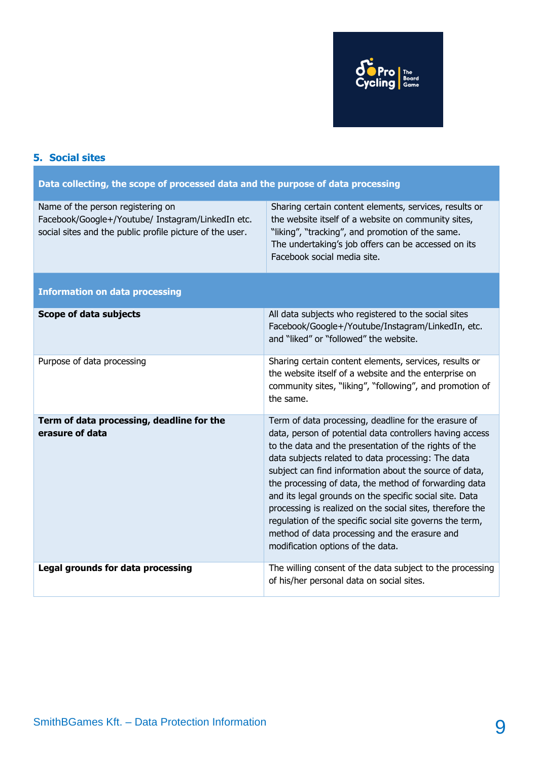

## **5. Social sites**

| Data collecting, the scope of processed data and the purpose of data processing                                                                    |                                                                                                                                                                                                                                                                                                                                                                                                                                                                                                                                                                                                                              |  |
|----------------------------------------------------------------------------------------------------------------------------------------------------|------------------------------------------------------------------------------------------------------------------------------------------------------------------------------------------------------------------------------------------------------------------------------------------------------------------------------------------------------------------------------------------------------------------------------------------------------------------------------------------------------------------------------------------------------------------------------------------------------------------------------|--|
| Name of the person registering on<br>Facebook/Google+/Youtube/ Instagram/LinkedIn etc.<br>social sites and the public profile picture of the user. | Sharing certain content elements, services, results or<br>the website itself of a website on community sites,<br>"liking", "tracking", and promotion of the same.<br>The undertaking's job offers can be accessed on its<br>Facebook social media site.                                                                                                                                                                                                                                                                                                                                                                      |  |
| <b>Information on data processing</b>                                                                                                              |                                                                                                                                                                                                                                                                                                                                                                                                                                                                                                                                                                                                                              |  |
| Scope of data subjects                                                                                                                             | All data subjects who registered to the social sites<br>Facebook/Google+/Youtube/Instagram/LinkedIn, etc.<br>and "liked" or "followed" the website.                                                                                                                                                                                                                                                                                                                                                                                                                                                                          |  |
| Purpose of data processing                                                                                                                         | Sharing certain content elements, services, results or<br>the website itself of a website and the enterprise on<br>community sites, "liking", "following", and promotion of<br>the same.                                                                                                                                                                                                                                                                                                                                                                                                                                     |  |
| Term of data processing, deadline for the<br>erasure of data                                                                                       | Term of data processing, deadline for the erasure of<br>data, person of potential data controllers having access<br>to the data and the presentation of the rights of the<br>data subjects related to data processing: The data<br>subject can find information about the source of data,<br>the processing of data, the method of forwarding data<br>and its legal grounds on the specific social site. Data<br>processing is realized on the social sites, therefore the<br>regulation of the specific social site governs the term,<br>method of data processing and the erasure and<br>modification options of the data. |  |
| Legal grounds for data processing                                                                                                                  | The willing consent of the data subject to the processing<br>of his/her personal data on social sites.                                                                                                                                                                                                                                                                                                                                                                                                                                                                                                                       |  |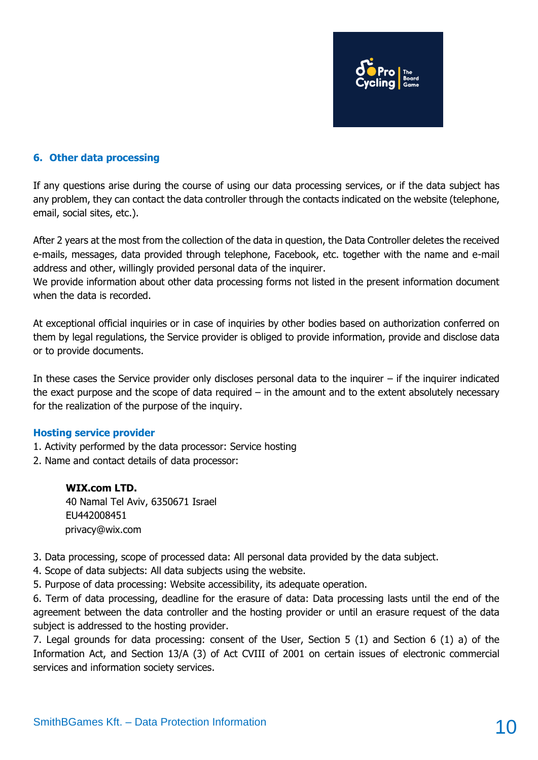

#### **6. Other data processing**

If any questions arise during the course of using our data processing services, or if the data subject has any problem, they can contact the data controller through the contacts indicated on the website (telephone, email, social sites, etc.).

After 2 years at the most from the collection of the data in question, the Data Controller deletes the received e-mails, messages, data provided through telephone, Facebook, etc. together with the name and e-mail address and other, willingly provided personal data of the inquirer.

We provide information about other data processing forms not listed in the present information document when the data is recorded.

At exceptional official inquiries or in case of inquiries by other bodies based on authorization conferred on them by legal regulations, the Service provider is obliged to provide information, provide and disclose data or to provide documents.

In these cases the Service provider only discloses personal data to the inquirer – if the inquirer indicated the exact purpose and the scope of data required  $-$  in the amount and to the extent absolutely necessary for the realization of the purpose of the inquiry.

#### **Hosting service provider**

- 1. Activity performed by the data processor: Service hosting
- 2. Name and contact details of data processor:

#### **WIX.com LTD.**

40 Namal Tel Aviv, 6350671 Israel EU442008451 privacy@wix.com

3. Data processing, scope of processed data: All personal data provided by the data subject.

4. Scope of data subjects: All data subjects using the website.

5. Purpose of data processing: Website accessibility, its adequate operation.

6. Term of data processing, deadline for the erasure of data: Data processing lasts until the end of the agreement between the data controller and the hosting provider or until an erasure request of the data subject is addressed to the hosting provider.

7. Legal grounds for data processing: consent of the User, Section 5 (1) and Section 6 (1) a) of the Information Act, and Section 13/A (3) of Act CVIII of 2001 on certain issues of electronic commercial services and information society services.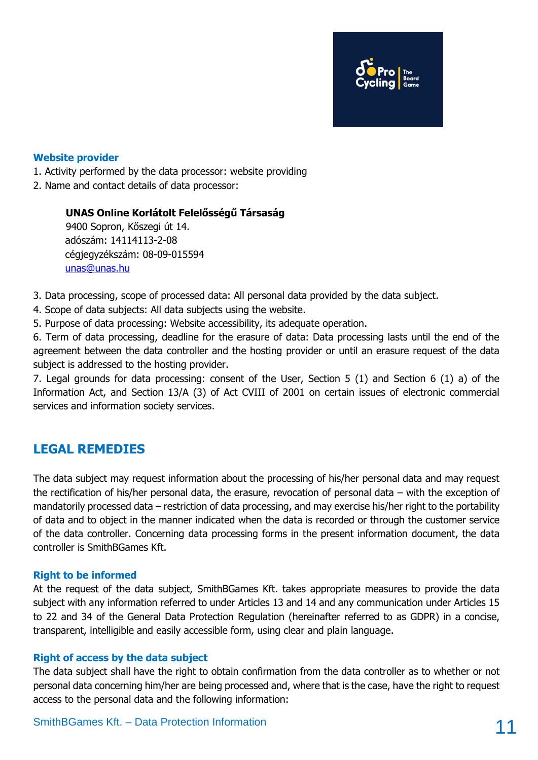

#### **Website provider**

1. Activity performed by the data processor: website providing

2. Name and contact details of data processor:

#### **UNAS Online Korlátolt Felelősségű Társaság**

9400 Sopron, Kőszegi út 14. adószám: 14114113-2-08 cégjegyzékszám: 08-09-015594 [unas@unas.hu](mailto:unas@unas.hu)

3. Data processing, scope of processed data: All personal data provided by the data subject.

4. Scope of data subjects: All data subjects using the website.

5. Purpose of data processing: Website accessibility, its adequate operation.

6. Term of data processing, deadline for the erasure of data: Data processing lasts until the end of the agreement between the data controller and the hosting provider or until an erasure request of the data subject is addressed to the hosting provider.

7. Legal grounds for data processing: consent of the User, Section 5 (1) and Section 6 (1) a) of the Information Act, and Section 13/A (3) of Act CVIII of 2001 on certain issues of electronic commercial services and information society services.

### **LEGAL REMEDIES**

The data subject may request information about the processing of his/her personal data and may request the rectification of his/her personal data, the erasure, revocation of personal data – with the exception of mandatorily processed data – restriction of data processing, and may exercise his/her right to the portability of data and to object in the manner indicated when the data is recorded or through the customer service of the data controller. Concerning data processing forms in the present information document, the data controller is SmithBGames Kft.

#### **Right to be informed**

At the request of the data subject, SmithBGames Kft. takes appropriate measures to provide the data subject with any information referred to under Articles 13 and 14 and any communication under Articles 15 to 22 and 34 of the General Data Protection Regulation (hereinafter referred to as GDPR) in a concise, transparent, intelligible and easily accessible form, using clear and plain language.

#### **Right of access by the data subject**

The data subject shall have the right to obtain confirmation from the data controller as to whether or not personal data concerning him/her are being processed and, where that is the case, have the right to request access to the personal data and the following information: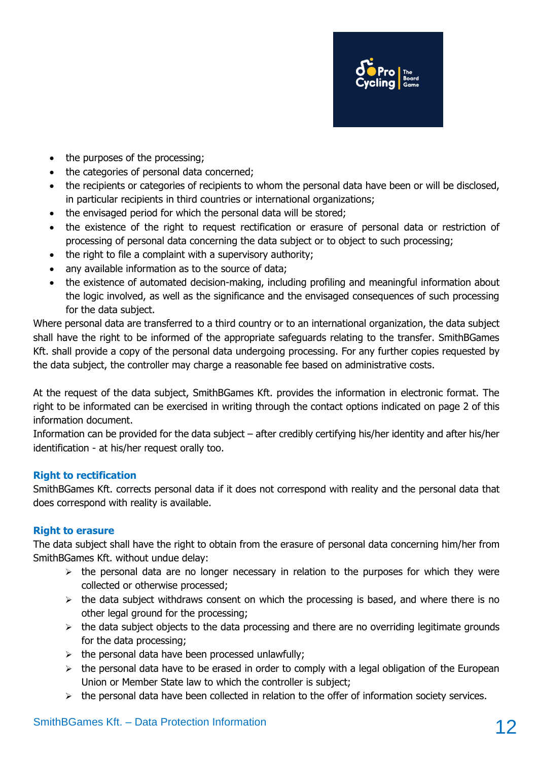

- the purposes of the processing;
- the categories of personal data concerned;
- the recipients or categories of recipients to whom the personal data have been or will be disclosed, in particular recipients in third countries or international organizations;
- the envisaged period for which the personal data will be stored;
- the existence of the right to request rectification or erasure of personal data or restriction of processing of personal data concerning the data subject or to object to such processing;
- the right to file a complaint with a supervisory authority;
- any available information as to the source of data;
- the existence of automated decision-making, including profiling and meaningful information about the logic involved, as well as the significance and the envisaged consequences of such processing for the data subject.

Where personal data are transferred to a third country or to an international organization, the data subject shall have the right to be informed of the appropriate safeguards relating to the transfer. SmithBGames Kft. shall provide a copy of the personal data undergoing processing. For any further copies requested by the data subject, the controller may charge a reasonable fee based on administrative costs.

At the request of the data subject, SmithBGames Kft. provides the information in electronic format. The right to be informated can be exercised in writing through the contact options indicated on page 2 of this information document.

Information can be provided for the data subject – after credibly certifying his/her identity and after his/her identification - at his/her request orally too.

#### **Right to rectification**

SmithBGames Kft. corrects personal data if it does not correspond with reality and the personal data that does correspond with reality is available.

#### **Right to erasure**

The data subject shall have the right to obtain from the erasure of personal data concerning him/her from SmithBGames Kft. without undue delay:

- $\triangleright$  the personal data are no longer necessary in relation to the purposes for which they were collected or otherwise processed;
- $\triangleright$  the data subject withdraws consent on which the processing is based, and where there is no other legal ground for the processing;
- $\triangleright$  the data subject objects to the data processing and there are no overriding legitimate grounds for the data processing;
- $\triangleright$  the personal data have been processed unlawfully;
- $\triangleright$  the personal data have to be erased in order to comply with a legal obligation of the European Union or Member State law to which the controller is subject;
- $\triangleright$  the personal data have been collected in relation to the offer of information society services.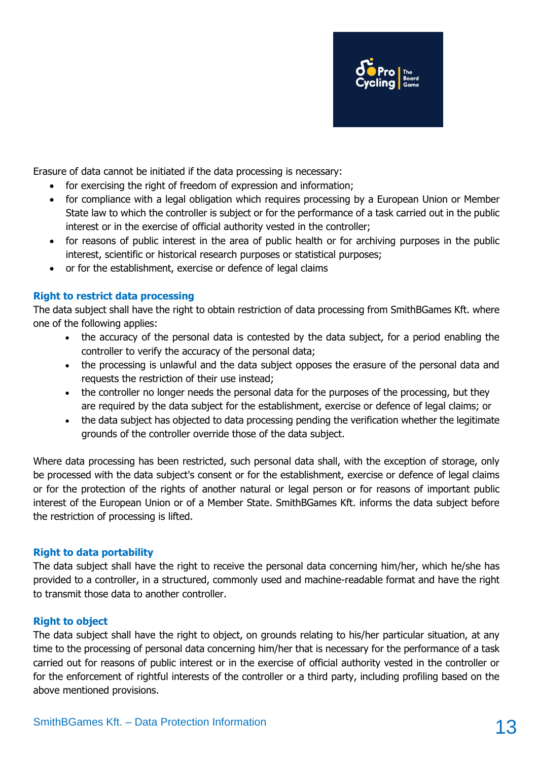

Erasure of data cannot be initiated if the data processing is necessary:

- for exercising the right of freedom of expression and information;
- for compliance with a legal obligation which requires processing by a European Union or Member State law to which the controller is subject or for the performance of a task carried out in the public interest or in the exercise of official authority vested in the controller;
- for reasons of public interest in the area of public health or for archiving purposes in the public interest, scientific or historical research purposes or statistical purposes;
- or for the establishment, exercise or defence of legal claims

#### **Right to restrict data processing**

The data subject shall have the right to obtain restriction of data processing from SmithBGames Kft. where one of the following applies:

- the accuracy of the personal data is contested by the data subject, for a period enabling the controller to verify the accuracy of the personal data;
- the processing is unlawful and the data subject opposes the erasure of the personal data and requests the restriction of their use instead;
- the controller no longer needs the personal data for the purposes of the processing, but they are required by the data subject for the establishment, exercise or defence of legal claims; or
- the data subject has objected to data processing pending the verification whether the legitimate grounds of the controller override those of the data subject.

Where data processing has been restricted, such personal data shall, with the exception of storage, only be processed with the data subject's consent or for the establishment, exercise or defence of legal claims or for the protection of the rights of another natural or legal person or for reasons of important public interest of the European Union or of a Member State. SmithBGames Kft. informs the data subject before the restriction of processing is lifted.

#### **Right to data portability**

The data subject shall have the right to receive the personal data concerning him/her, which he/she has provided to a controller, in a structured, commonly used and machine-readable format and have the right to transmit those data to another controller.

#### **Right to object**

The data subject shall have the right to object, on grounds relating to his/her particular situation, at any time to the processing of personal data concerning him/her that is necessary for the performance of a task carried out for reasons of public interest or in the exercise of official authority vested in the controller or for the enforcement of rightful interests of the controller or a third party, including profiling based on the above mentioned provisions.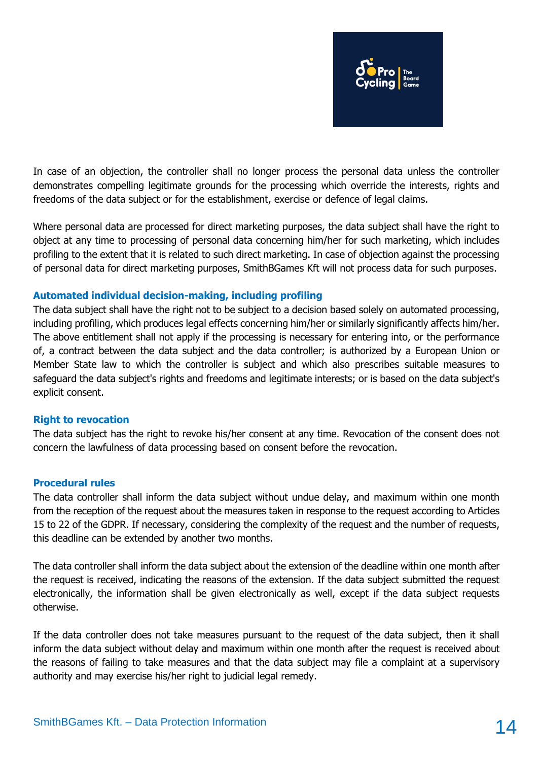

In case of an objection, the controller shall no longer process the personal data unless the controller demonstrates compelling legitimate grounds for the processing which override the interests, rights and freedoms of the data subject or for the establishment, exercise or defence of legal claims.

Where personal data are processed for direct marketing purposes, the data subject shall have the right to object at any time to processing of personal data concerning him/her for such marketing, which includes profiling to the extent that it is related to such direct marketing. In case of objection against the processing of personal data for direct marketing purposes, SmithBGames Kft will not process data for such purposes.

#### **Automated individual decision-making, including profiling**

The data subject shall have the right not to be subject to a decision based solely on automated processing, including profiling, which produces legal effects concerning him/her or similarly significantly affects him/her. The above entitlement shall not apply if the processing is necessary for entering into, or the performance of, a contract between the data subject and the data controller; is authorized by a European Union or Member State law to which the controller is subject and which also prescribes suitable measures to safeguard the data subject's rights and freedoms and legitimate interests; or is based on the data subject's explicit consent.

#### **Right to revocation**

The data subject has the right to revoke his/her consent at any time. Revocation of the consent does not concern the lawfulness of data processing based on consent before the revocation.

#### **Procedural rules**

The data controller shall inform the data subject without undue delay, and maximum within one month from the reception of the request about the measures taken in response to the request according to Articles 15 to 22 of the GDPR. If necessary, considering the complexity of the request and the number of requests, this deadline can be extended by another two months.

The data controller shall inform the data subject about the extension of the deadline within one month after the request is received, indicating the reasons of the extension. If the data subject submitted the request electronically, the information shall be given electronically as well, except if the data subject requests otherwise.

If the data controller does not take measures pursuant to the request of the data subject, then it shall inform the data subject without delay and maximum within one month after the request is received about the reasons of failing to take measures and that the data subject may file a complaint at a supervisory authority and may exercise his/her right to judicial legal remedy.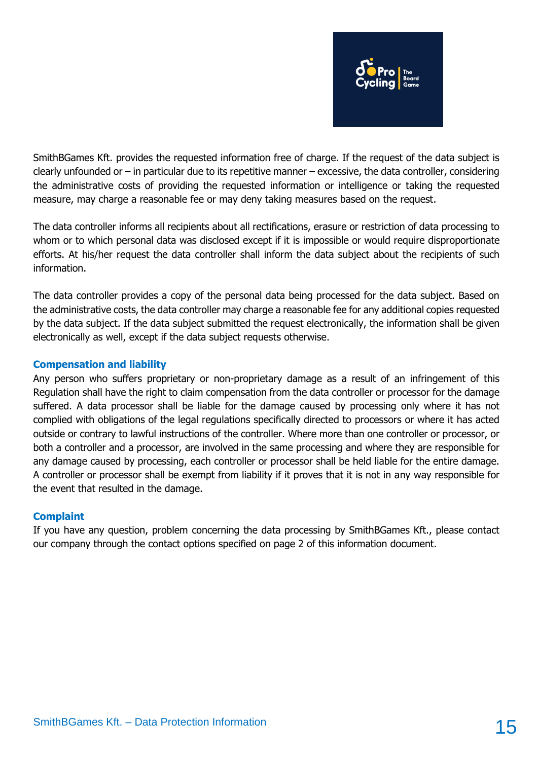

SmithBGames Kft. provides the requested information free of charge. If the request of the data subject is clearly unfounded or – in particular due to its repetitive manner – excessive, the data controller, considering the administrative costs of providing the requested information or intelligence or taking the requested measure, may charge a reasonable fee or may deny taking measures based on the request.

The data controller informs all recipients about all rectifications, erasure or restriction of data processing to whom or to which personal data was disclosed except if it is impossible or would require disproportionate efforts. At his/her request the data controller shall inform the data subject about the recipients of such information.

The data controller provides a copy of the personal data being processed for the data subject. Based on the administrative costs, the data controller may charge a reasonable fee for any additional copies requested by the data subject. If the data subject submitted the request electronically, the information shall be given electronically as well, except if the data subject requests otherwise.

#### **Compensation and liability**

Any person who suffers proprietary or non-proprietary damage as a result of an infringement of this Regulation shall have the right to claim compensation from the data controller or processor for the damage suffered. A data processor shall be liable for the damage caused by processing only where it has not complied with obligations of the legal regulations specifically directed to processors or where it has acted outside or contrary to lawful instructions of the controller. Where more than one controller or processor, or both a controller and a processor, are involved in the same processing and where they are responsible for any damage caused by processing, each controller or processor shall be held liable for the entire damage. A controller or processor shall be exempt from liability if it proves that it is not in any way responsible for the event that resulted in the damage.

#### **Complaint**

If you have any question, problem concerning the data processing by SmithBGames Kft., please contact our company through the contact options specified on page 2 of this information document.